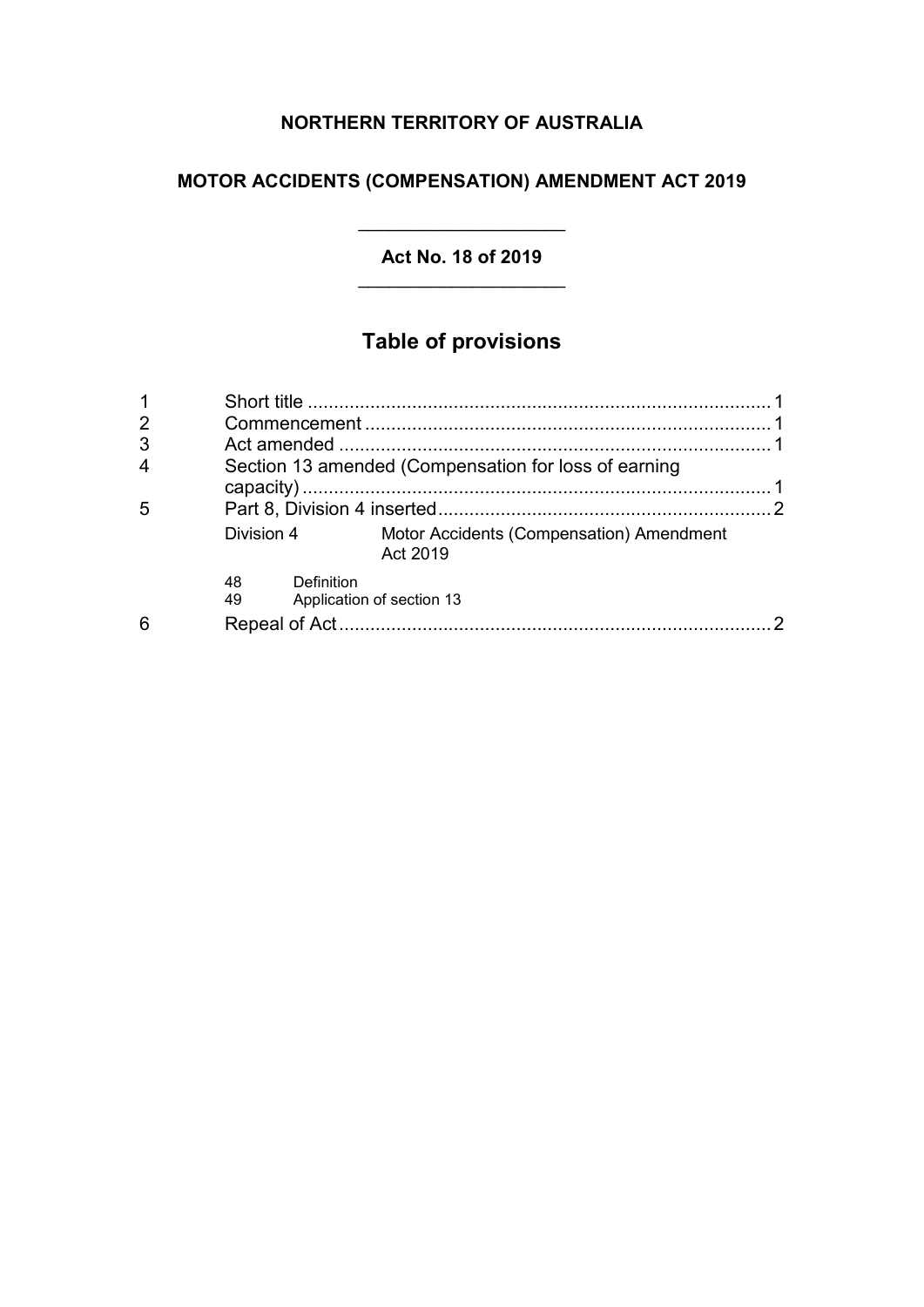## **NORTHERN TERRITORY OF AUSTRALIA**

## **MOTOR ACCIDENTS (COMPENSATION) AMENDMENT ACT 2019**

#### **Act No. 18 of 2019**

\_\_\_\_\_\_\_\_\_\_\_\_\_\_\_\_\_\_\_\_

## **Table of provisions**

| $\overline{2}$ |                                                      |                                                      |  |
|----------------|------------------------------------------------------|------------------------------------------------------|--|
| 3              |                                                      |                                                      |  |
|                | Section 13 amended (Compensation for loss of earning |                                                      |  |
| 5              |                                                      |                                                      |  |
|                | Division 4                                           | Motor Accidents (Compensation) Amendment<br>Act 2019 |  |
|                | Definition<br>48<br>49                               | Application of section 13                            |  |
| 6              |                                                      |                                                      |  |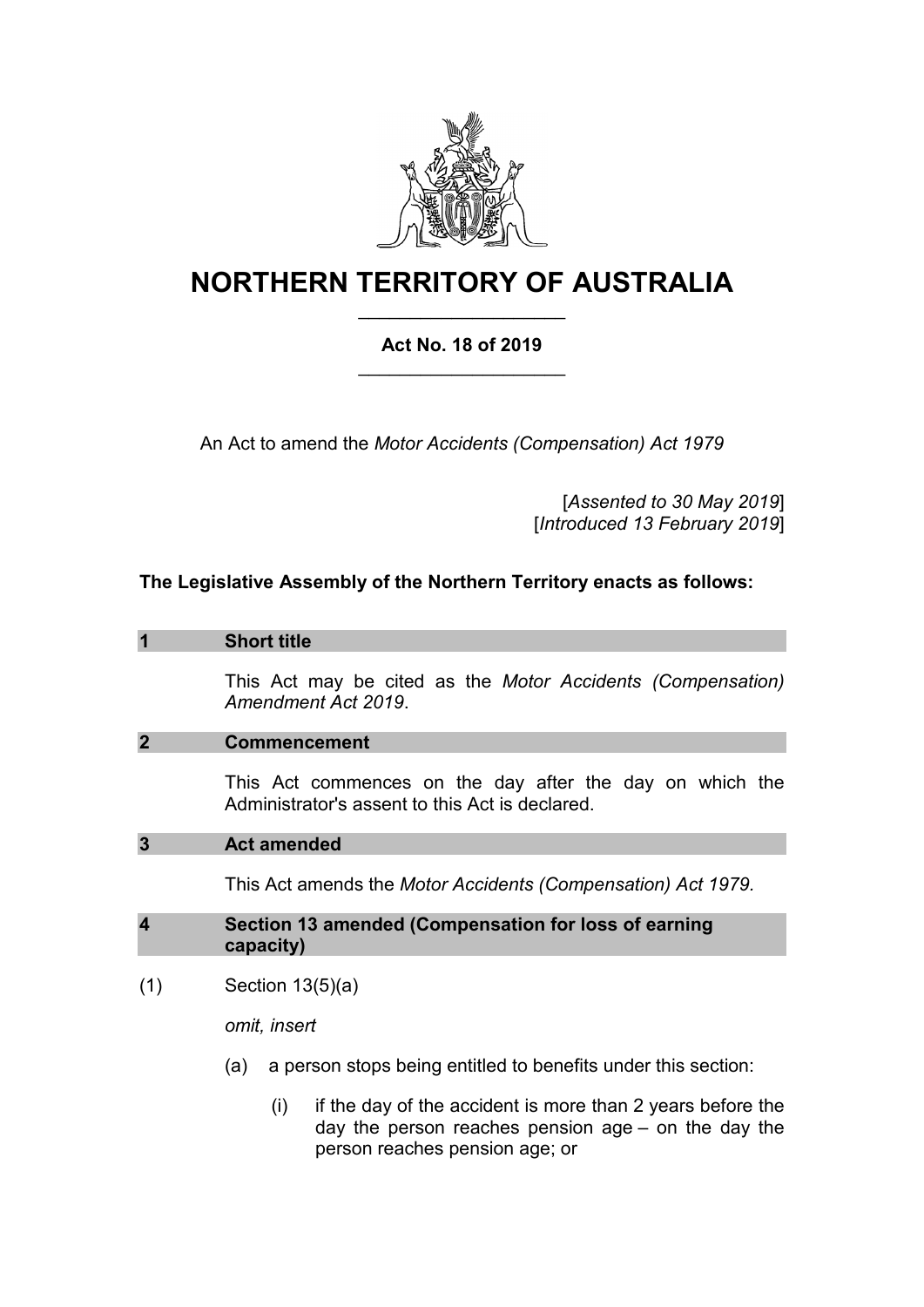

# **NORTHERN TERRITORY OF AUSTRALIA**

## **Act No. 18 of 2019** \_\_\_\_\_\_\_\_\_\_\_\_\_\_\_\_\_\_\_\_

\_\_\_\_\_\_\_\_\_\_\_\_\_\_\_\_\_\_\_\_

An Act to amend the *Motor Accidents (Compensation) Act 1979*

[*Assented to 30 May 2019*] [*Introduced 13 February 2019*]

## **The Legislative Assembly of the Northern Territory enacts as follows:**

#### **1 Short title**

This Act may be cited as the *Motor Accidents (Compensation) Amendment Act 2019*.

#### **2 Commencement**

This Act commences on the day after the day on which the Administrator's assent to this Act is declared.

#### **3 Act amended**

This Act amends the *Motor Accidents (Compensation) Act 1979.*

#### **4 Section 13 amended (Compensation for loss of earning capacity)**

 $(1)$  Section 13 $(5)(a)$ 

*omit, insert*

- (a) a person stops being entitled to benefits under this section:
	- $(i)$  if the day of the accident is more than 2 years before the day the person reaches pension age – on the day the person reaches pension age; or